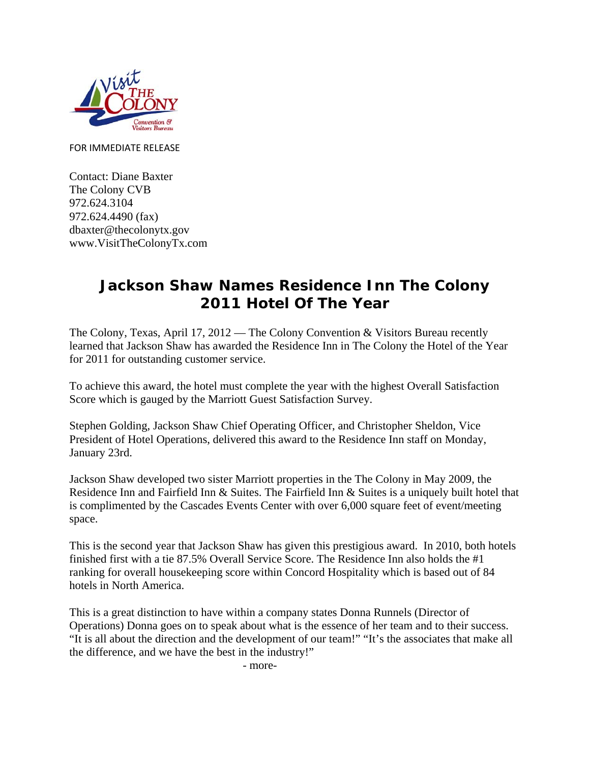

FOR IMMEDIATE RELEASE

Contact: Diane Baxter The Colony CVB 972.624.3104 972.624.4490 (fax) dbaxter@thecolonytx.gov www.VisitTheColonyTx.com

## **Jackson Shaw Names Residence Inn The Colony 2011 Hotel Of The Year**

The Colony, Texas, April 17, 2012 — The Colony Convention & Visitors Bureau recently learned that Jackson Shaw has awarded the Residence Inn in The Colony the Hotel of the Year for 2011 for outstanding customer service.

To achieve this award, the hotel must complete the year with the highest Overall Satisfaction Score which is gauged by the Marriott Guest Satisfaction Survey.

Stephen Golding, Jackson Shaw Chief Operating Officer, and Christopher Sheldon, Vice President of Hotel Operations, delivered this award to the Residence Inn staff on Monday, January 23rd.

Jackson Shaw developed two sister Marriott properties in the The Colony in May 2009, the Residence Inn and Fairfield Inn & Suites. The Fairfield Inn & Suites is a uniquely built hotel that is complimented by the Cascades Events Center with over 6,000 square feet of event/meeting space.

This is the second year that Jackson Shaw has given this prestigious award. In 2010, both hotels finished first with a tie 87.5% Overall Service Score. The Residence Inn also holds the #1 ranking for overall housekeeping score within Concord Hospitality which is based out of 84 hotels in North America.

This is a great distinction to have within a company states Donna Runnels (Director of Operations) Donna goes on to speak about what is the essence of her team and to their success. "It is all about the direction and the development of our team!" "It's the associates that make all the difference, and we have the best in the industry!"

- more-